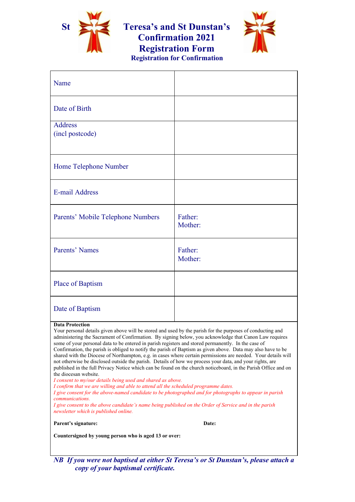

**St Teresa's and St Dunstan's Confirmation 2021 Registration Form**

**Registration for Confirmation**



| Name                                                                                                                                                                                                                                                                                                                                                                                                                                                                                                                                                                                                                                                                                                                                                                                                                                                                                                                                                                                                                                                                                                                                                                                                                                                                                        |                    |
|---------------------------------------------------------------------------------------------------------------------------------------------------------------------------------------------------------------------------------------------------------------------------------------------------------------------------------------------------------------------------------------------------------------------------------------------------------------------------------------------------------------------------------------------------------------------------------------------------------------------------------------------------------------------------------------------------------------------------------------------------------------------------------------------------------------------------------------------------------------------------------------------------------------------------------------------------------------------------------------------------------------------------------------------------------------------------------------------------------------------------------------------------------------------------------------------------------------------------------------------------------------------------------------------|--------------------|
| Date of Birth                                                                                                                                                                                                                                                                                                                                                                                                                                                                                                                                                                                                                                                                                                                                                                                                                                                                                                                                                                                                                                                                                                                                                                                                                                                                               |                    |
| <b>Address</b><br>(incl postcode)                                                                                                                                                                                                                                                                                                                                                                                                                                                                                                                                                                                                                                                                                                                                                                                                                                                                                                                                                                                                                                                                                                                                                                                                                                                           |                    |
| Home Telephone Number                                                                                                                                                                                                                                                                                                                                                                                                                                                                                                                                                                                                                                                                                                                                                                                                                                                                                                                                                                                                                                                                                                                                                                                                                                                                       |                    |
| <b>E-mail Address</b>                                                                                                                                                                                                                                                                                                                                                                                                                                                                                                                                                                                                                                                                                                                                                                                                                                                                                                                                                                                                                                                                                                                                                                                                                                                                       |                    |
| Parents' Mobile Telephone Numbers                                                                                                                                                                                                                                                                                                                                                                                                                                                                                                                                                                                                                                                                                                                                                                                                                                                                                                                                                                                                                                                                                                                                                                                                                                                           | Father:<br>Mother: |
| Parents' Names                                                                                                                                                                                                                                                                                                                                                                                                                                                                                                                                                                                                                                                                                                                                                                                                                                                                                                                                                                                                                                                                                                                                                                                                                                                                              | Father:<br>Mother: |
| Place of Baptism                                                                                                                                                                                                                                                                                                                                                                                                                                                                                                                                                                                                                                                                                                                                                                                                                                                                                                                                                                                                                                                                                                                                                                                                                                                                            |                    |
| Date of Baptism                                                                                                                                                                                                                                                                                                                                                                                                                                                                                                                                                                                                                                                                                                                                                                                                                                                                                                                                                                                                                                                                                                                                                                                                                                                                             |                    |
| <b>Data Protection</b><br>Your personal details given above will be stored and used by the parish for the purposes of conducting and<br>administering the Sacrament of Confirmation. By signing below, you acknowledge that Canon Law requires<br>some of your personal data to be entered in parish registers and stored permanently. In the case of<br>Confirmation, the parish is obliged to notify the parish of Baptism as given above. Data may also have to be<br>shared with the Diocese of Northampton, e.g. in cases where certain permissions are needed. Your details will<br>not otherwise be disclosed outside the parish. Details of how we process your data, and your rights, are<br>published in the full Privacy Notice which can be found on the church noticeboard, in the Parish Office and on<br>the diocesan website.<br>I consent to my/our details being used and shared as above.<br>I confirm that we are willing and able to attend all the scheduled programme dates.<br>I give consent for the above-named candidate to be photographed and for photographs to appear in parish<br><i>communications.</i><br>I give consent to the above candidate's name being published on the Order of Service and in the parish<br>newsletter which is published online. |                    |
| Parent's signature:                                                                                                                                                                                                                                                                                                                                                                                                                                                                                                                                                                                                                                                                                                                                                                                                                                                                                                                                                                                                                                                                                                                                                                                                                                                                         | Date:              |
| Countersigned by young person who is aged 13 or over:                                                                                                                                                                                                                                                                                                                                                                                                                                                                                                                                                                                                                                                                                                                                                                                                                                                                                                                                                                                                                                                                                                                                                                                                                                       |                    |

*NB If you were not baptised at either St Teresa's or St Dunstan's, please attach a copy of your baptismal certificate.*